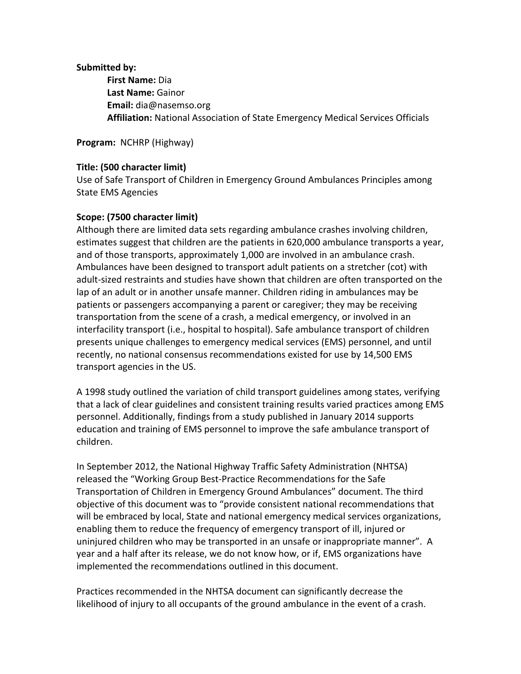## **Submitted by:**

**First Name:** Dia **Last Name:** Gainor **Email:** dia@nasemso.org **Affiliation:** National Association of State Emergency Medical Services Officials

**Program:** NCHRP (Highway)

## **Title: (500 character limit)**

Use of Safe Transport of Children in Emergency Ground Ambulances Principles among State EMS Agencies

## **Scope: (7500 character limit)**

Although there are limited data sets regarding ambulance crashes involving children, estimates suggest that children are the patients in 620,000 ambulance transports a year, and of those transports, approximately 1,000 are involved in an ambulance crash. Ambulances have been designed to transport adult patients on a stretcher (cot) with adult-sized restraints and studies have shown that children are often transported on the lap of an adult or in another unsafe manner. Children riding in ambulances may be patients or passengers accompanying a parent or caregiver; they may be receiving transportation from the scene of a crash, a medical emergency, or involved in an interfacility transport (i.e., hospital to hospital). Safe ambulance transport of children presents unique challenges to emergency medical services (EMS) personnel, and until recently, no national consensus recommendations existed for use by 14,500 EMS transport agencies in the US.

A 1998 study outlined the variation of child transport guidelines among states, verifying that a lack of clear guidelines and consistent training results varied practices among EMS personnel. Additionally, findings from a study published in January 2014 supports education and training of EMS personnel to improve the safe ambulance transport of children.

In September 2012, the National Highway Traffic Safety Administration (NHTSA) released the "Working Group Best-Practice Recommendations for the Safe Transportation of Children in Emergency Ground Ambulances" document. The third objective of this document was to "provide consistent national recommendations that will be embraced by local, State and national emergency medical services organizations, enabling them to reduce the frequency of emergency transport of ill, injured or uninjured children who may be transported in an unsafe or inappropriate manner". A year and a half after its release, we do not know how, or if, EMS organizations have implemented the recommendations outlined in this document.

Practices recommended in the NHTSA document can significantly decrease the likelihood of injury to all occupants of the ground ambulance in the event of a crash.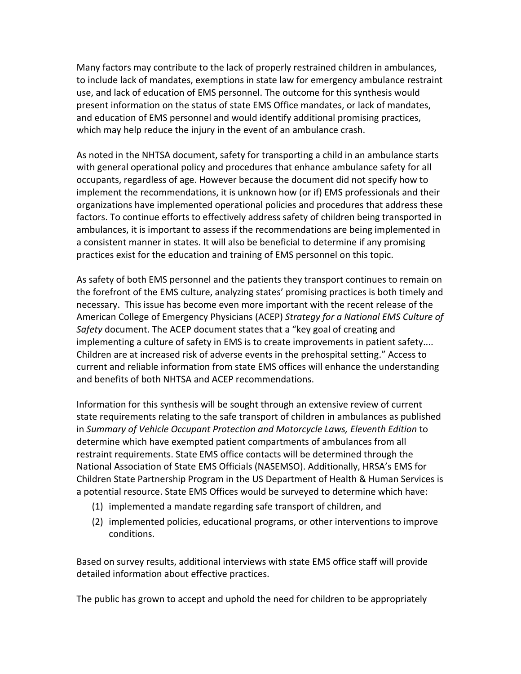Many factors may contribute to the lack of properly restrained children in ambulances, to include lack of mandates, exemptions in state law for emergency ambulance restraint use, and lack of education of EMS personnel. The outcome for this synthesis would present information on the status of state EMS Office mandates, or lack of mandates, and education of EMS personnel and would identify additional promising practices, which may help reduce the injury in the event of an ambulance crash.

As noted in the NHTSA document, safety for transporting a child in an ambulance starts with general operational policy and procedures that enhance ambulance safety for all occupants, regardless of age. However because the document did not specify how to implement the recommendations, it is unknown how (or if) EMS professionals and their organizations have implemented operational policies and procedures that address these factors. To continue efforts to effectively address safety of children being transported in ambulances, it is important to assess if the recommendations are being implemented in a consistent manner in states. It will also be beneficial to determine if any promising practices exist for the education and training of EMS personnel on this topic.

As safety of both EMS personnel and the patients they transport continues to remain on the forefront of the EMS culture, analyzing states' promising practices is both timely and necessary. This issue has become even more important with the recent release of the American College of Emergency Physicians (ACEP) *Strategy for a National EMS Culture of Safety* document. The ACEP document states that a "key goal of creating and implementing a culture of safety in EMS is to create improvements in patient safety.... Children are at increased risk of adverse events in the prehospital setting." Access to current and reliable information from state EMS offices will enhance the understanding and benefits of both NHTSA and ACEP recommendations.

Information for this synthesis will be sought through an extensive review of current state requirements relating to the safe transport of children in ambulances as published in *Summary of Vehicle Occupant Protection and Motorcycle Laws, Eleventh Edition* to determine which have exempted patient compartments of ambulances from all restraint requirements. State EMS office contacts will be determined through the National Association of State EMS Officials (NASEMSO). Additionally, HRSA's EMS for Children State Partnership Program in the US Department of Health & Human Services is a potential resource. State EMS Offices would be surveyed to determine which have:

- (1) implemented a mandate regarding safe transport of children, and
- (2) implemented policies, educational programs, or other interventions to improve conditions.

Based on survey results, additional interviews with state EMS office staff will provide detailed information about effective practices.

The public has grown to accept and uphold the need for children to be appropriately